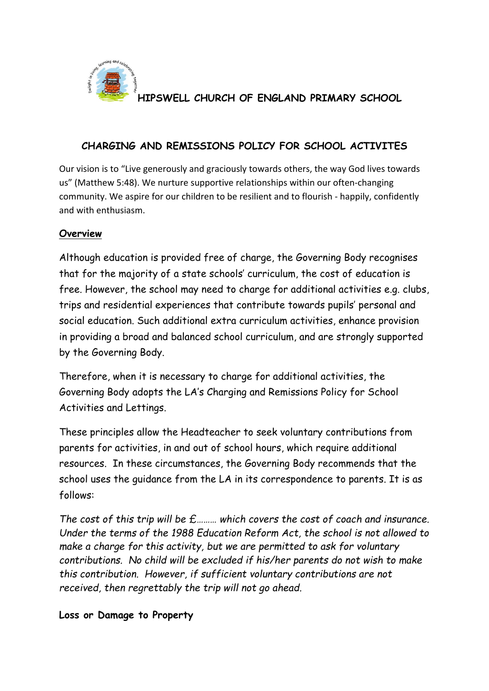

**HIPSWELL CHURCH OF ENGLAND PRIMARY SCHOOL**

### **CHARGING AND REMISSIONS POLICY FOR SCHOOL ACTIVITES**

Our vision is to "Live generously and graciously towards others, the way God lives towards us" (Matthew 5:48). We nurture supportive relationships within our often-changing community. We aspire for our children to be resilient and to flourish - happily, confidently and with enthusiasm.

# **Overview**

Although education is provided free of charge, the Governing Body recognises that for the majority of a state schools' curriculum, the cost of education is free. However, the school may need to charge for additional activities e.g. clubs, trips and residential experiences that contribute towards pupils' personal and social education. Such additional extra curriculum activities, enhance provision in providing a broad and balanced school curriculum, and are strongly supported by the Governing Body.

Therefore, when it is necessary to charge for additional activities, the Governing Body adopts the LA's Charging and Remissions Policy for School Activities and Lettings.

These principles allow the Headteacher to seek voluntary contributions from parents for activities, in and out of school hours, which require additional resources. In these circumstances, the Governing Body recommends that the school uses the guidance from the LA in its correspondence to parents. It is as follows:

*The cost of this trip will be £……… which covers the cost of coach and insurance. Under the terms of the 1988 Education Reform Act, the school is not allowed to make a charge for this activity, but we are permitted to ask for voluntary contributions. No child will be excluded if his/her parents do not wish to make this contribution. However, if sufficient voluntary contributions are not received, then regrettably the trip will not go ahead.*

#### **Loss or Damage to Property**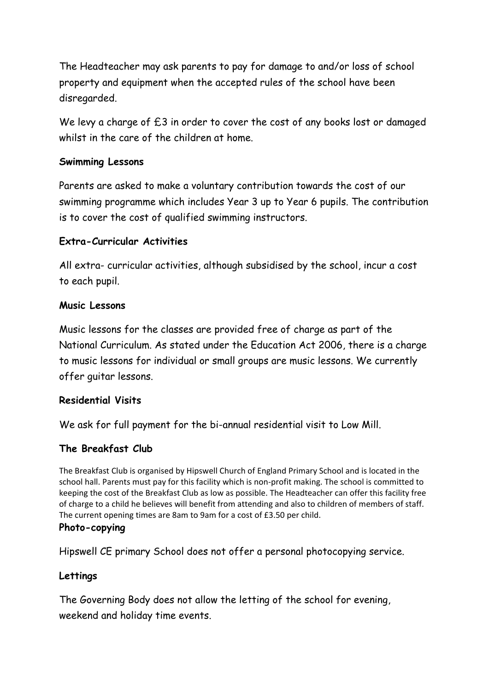The Headteacher may ask parents to pay for damage to and/or loss of school property and equipment when the accepted rules of the school have been disregarded.

We levy a charge of  $£3$  in order to cover the cost of any books lost or damaged whilst in the care of the children at home.

# **Swimming Lessons**

Parents are asked to make a voluntary contribution towards the cost of our swimming programme which includes Year 3 up to Year 6 pupils. The contribution is to cover the cost of qualified swimming instructors.

### **Extra-Curricular Activities**

All extra- curricular activities, although subsidised by the school, incur a cost to each pupil.

#### **Music Lessons**

Music lessons for the classes are provided free of charge as part of the National Curriculum. As stated under the Education Act 2006, there is a charge to music lessons for individual or small groups are music lessons. We currently offer guitar lessons.

#### **Residential Visits**

We ask for full payment for the bi-annual residential visit to Low Mill.

# **The Breakfast Club**

The Breakfast Club is organised by Hipswell Church of England Primary School and is located in the school hall. Parents must pay for this facility which is non-profit making. The school is committed to keeping the cost of the Breakfast Club as low as possible. The Headteacher can offer this facility free of charge to a child he believes will benefit from attending and also to children of members of staff. The current opening times are 8am to 9am for a cost of £3.50 per child. **Photo-copying**

Hipswell CE primary School does not offer a personal photocopying service.

#### **Lettings**

The Governing Body does not allow the letting of the school for evening, weekend and holiday time events.